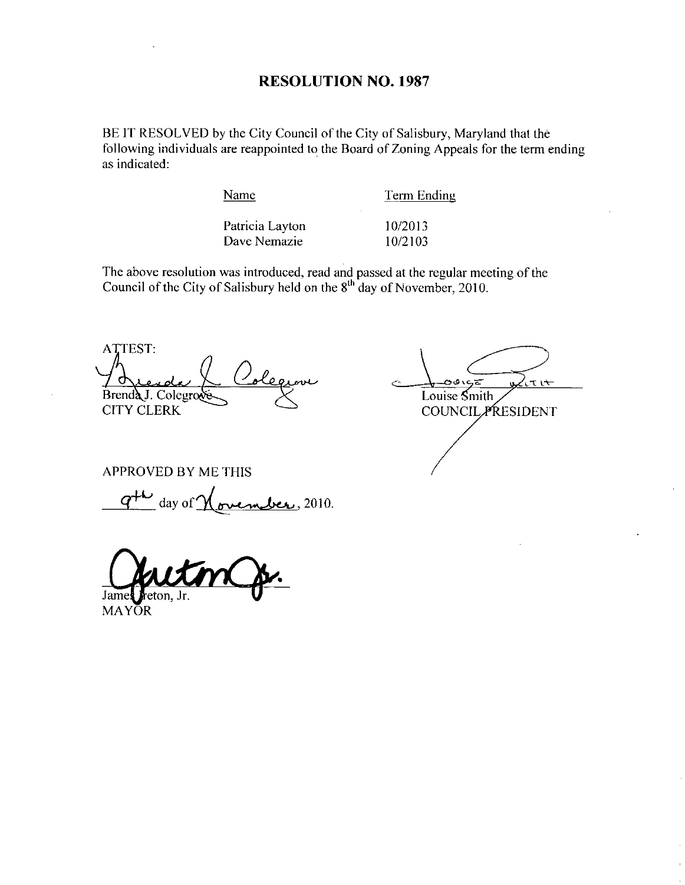## RESOLUTION NO. 1987

BE IT RESOLVED by the City Council of the City of Salisbury, Maryland that the following individuals are reappointed to the Board of Zoning Appeals for the term ending as indicated

Name Term Ending

Patricia Layton 10/2013 Patricia Layton 10/2013<br>Dave Nemazie 10/2103

The above resolution was introduced, read and passed at the regular meeting of the Council of the City of Salisbury held on the  $8<sup>th</sup>$  day of November, 2010.

**ATTEST:** Brenda J. Colegrod CITY CLERK

uditit Louise Smith **COUNCIL PRESIDENT** 

APPROVED BY ME THIS

 $\text{Colegroves}$ <br>
ED BY ME THIS<br>
day of <u>November</u>, 2010.  $q^{+\omega}$ 

James Freton, Jr. MAYOR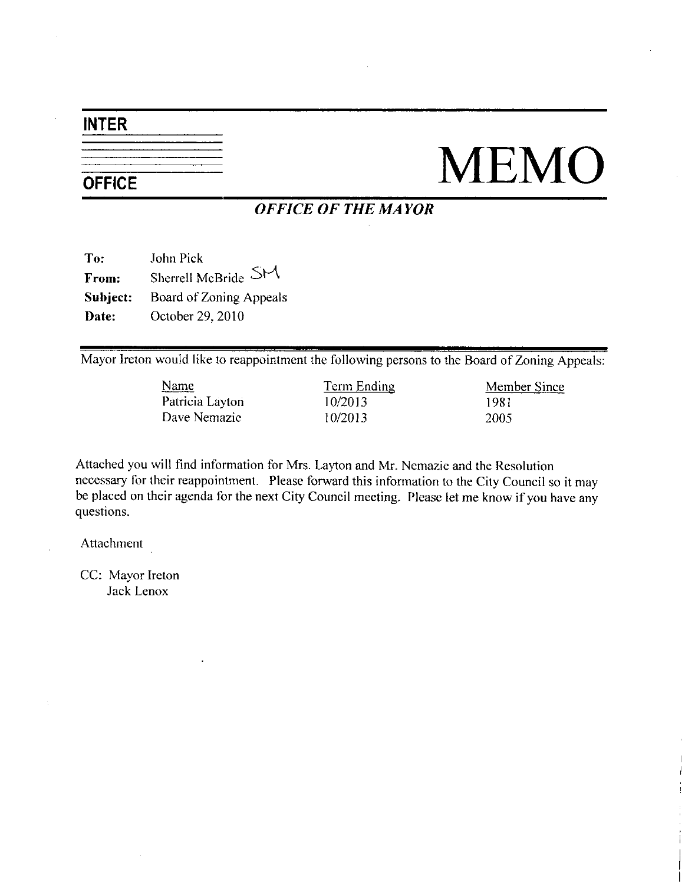# INTER

# $\frac{1}{\text{OFFICE}}$  MEMO

## OFFICE OF THE MAYOR

To: John Pick From: Sherrell McBride SM Subject: Board of Zoning Appeals Date: October 29, 2010

Mayor Ireton would like to reappointment the following persons to the Board of Zoning Appeals:

Name Term Ending Member Since Patricia Layton 10/2013 1981<br>
Dave Nemazic 10/2013 2005 Patricia Layton 10/2013 1981<br>Dave Nemazic 10/2013 2005

Attached you will find information for Mrs Layton and Mr Nemazic and the Resolution necessary for their reappointment. Please forward this information to the City Council so it may be placed on their agenda for the next City Council meeting. Please let me know if you have any questions

Attachment

CC: Mayor Ireton Jack Lenox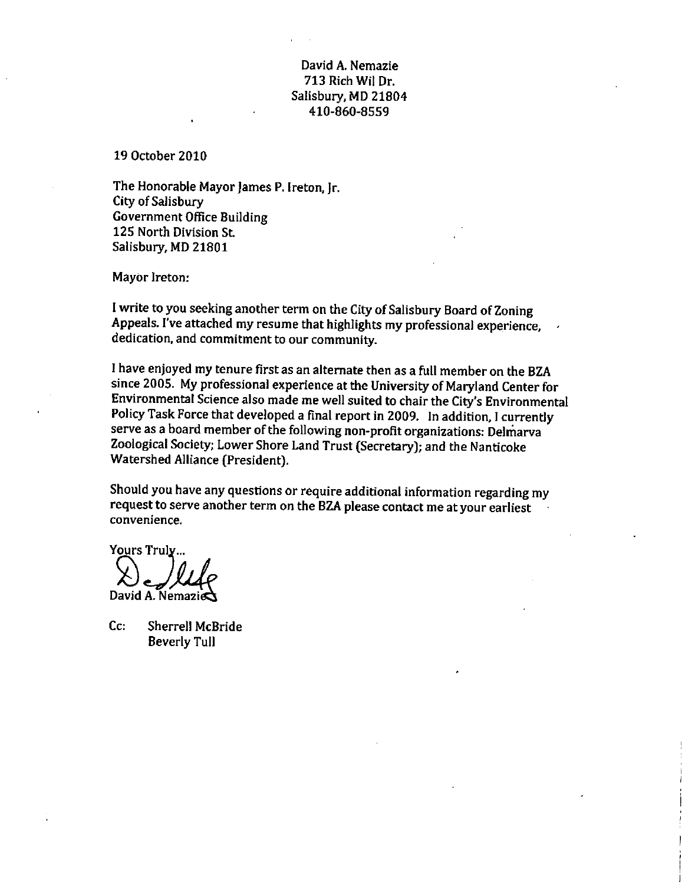### David A. Nemazie 713 Rich Wil Dr Salisbury, MD 21804 410-860-8559

19 October 2010

The Honorable Mayor James P. Ireton, Ir. City of Salisbury Government Office Building 125 North Division St Salisbury, MD 21801

Mayor Ireton:

I write to you seeking another term on the City of Salisbury Board of Zoning Appeals. I've attached my resume that highlights my professional experience, dedication, and commitment to our community.

I have enjoyed my tenure first as an alternate then as afull member on the BZA since 2005. My professional experience at the University of Maryland Center for I have enjoyed my tenure first as an alternate then as a full member on the BZA<br>since 2005. My professional experience at the University of Maryland Center for<br>Environmental Science also made me well suited to chair the Ci Policy Task Force that developed a final report in 2009. In addition, I currently serve as a board member of the following non-profit organizations: Delmarva Zoological Society; Lower Shore Land Trust (Secretary); and the Nanticoke Watershed Alliance (President).

Should you have any questions or require additional information regarding my request to serve another term on the BZA please contact me atyour earliest convenience

Yours Truly...

David T A Nemazi

Cc: Sherrell McBride Beverly Tull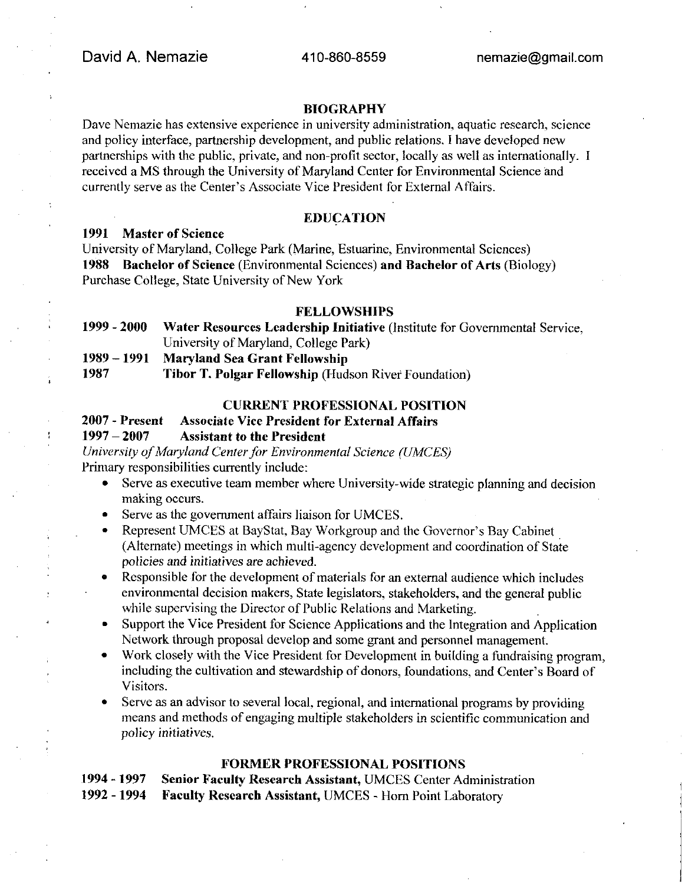#### BIOGRAPHY

Dave Nemazie has extensive experience in university administration, aquatic research, science Dave Nemazie has extensive experience in university administration, aquatic research, science and policy interface, partnership development, and public relations. I have developed new partnerships with the public, private, partnerships with the public, private, and non-profit sector, locally as well as internationally. I received a MS through the University of Maryland Center for Environmental Science and currently serve as the Center's Associate Vice President for External Affairs.

#### EDUCATION

#### 1991 Master of Science

 $\overline{\mathcal{L}}$ 

f,

University of Maryland, College Park (Marine, Estuarine, Environmental Sciences) 1988 Bachelor of Science (Environmental Sciences) and Bachelor of Arts (Biology) Purchase College, State University of New York

#### FELLOWSHIPS

| $1999 - 2000$ | Water Resources Leadership Initiative (Institute for Governmental Service, |
|---------------|----------------------------------------------------------------------------|
|               | University of Maryland, College Park)                                      |
|               | 1989 – 1991 Maryland Sea Grant Fellowship                                  |

1987 Tibor T. Polgar Fellowship (Hudson River Foundation)

#### CURRENT PROFESSIONAL POSITION

#### 2007 - Present Associate Vice President for External Affairs

#### 1997 2007 Assistant to the President

University of Maryland Center for Environmental Science (UMCES) Primary responsibilities currently include:

- responsibilities currently include:<br>Serve as executive team member where University-wide strategic planning and decision<br>making occurs making occurs
- Serve as the government affairs liaison for UMCES  $\bullet$
- Sity of Maryland Center for Environmental Science (UMCES)<br>
y responsibilities currently include:<br>
Serve as executive team member where University-wide strategic planning and o<br>
making occurs.<br>
Serve as the government affai Represent UMCES at BayStat, Bay Workgroup and the Governor's Bay Cabinet (Alternate) meetings in which multi-agency development and coordination of State policies and initiatives are achieved.
- Responsible for the development of materials for an external audience which includes environmental decision makers, State legislators, stakeholders, and the general public while supervising the Director of Public Relations and Marketing.
- Support the Vice President for Science Applications and the Integration and Application Network through proposal develop and some grant and personnel management
- Work closely with the Vice President for Development in building a fundraising program while supervising the Director of Public Relations and Marketing.<br>Support the Vice President for Science Applications and the Integration and Application<br>Network through proposal develop and some grant and personnel manage Visitors
- Serve as an advisor to several local, regional, and international programs by providing means and methods of engaging multiple stakeholders in scientific communication and policy initiatives

#### FORMER PROFESSIONAL POSITIONS

1994 - 1997 Senior Faculty Research Assistant, UMCES Center Administration 1992 - 1994 Faculty Research Assistant, UMCES - Horn Point Laboratory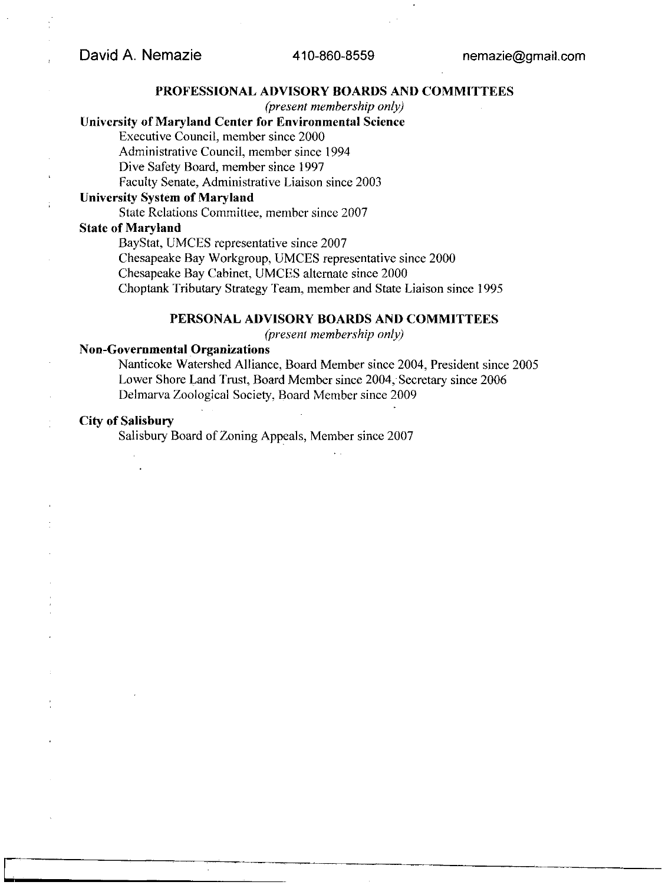#### PROFESSIONAL ADVISORY BOARDS AND COMMITTEES

 $(present membership only)$ 

#### University of Maryland Center for Environmental Science

Executive Council, member since 2000

Administrative Council, member since 1994

Dive Safety Board, member since 1997

Faculty Senate, Administrative Liaison since 2003

#### **University System of Maryland**

State Relations Committee, member since 2007

## State of Maryland

BayStat, UMCES representative since 2007

Chesapeake Bay Workgroup, UMCES representative since 2000

Chesapeake Bay Cabinet, UMCES alternate since 2000

Choptank Tributary Strategy Team, member and State Liaison since 1995

#### PERSONAL ADVISORY BOARDS AND COMMITTEES

(present membership only)

#### Non Governmental Organizations

Nanticoke Watershed Alliance, Board Member since 2004, President since 2005 Lower Shore Land Trust, Board Member since 2004, Secretary since 2006 Delmarva Zoological Society, Board Member since 2009

#### City of Salisbury

Salisbury Board of Zoning Appeals, Member since 2007